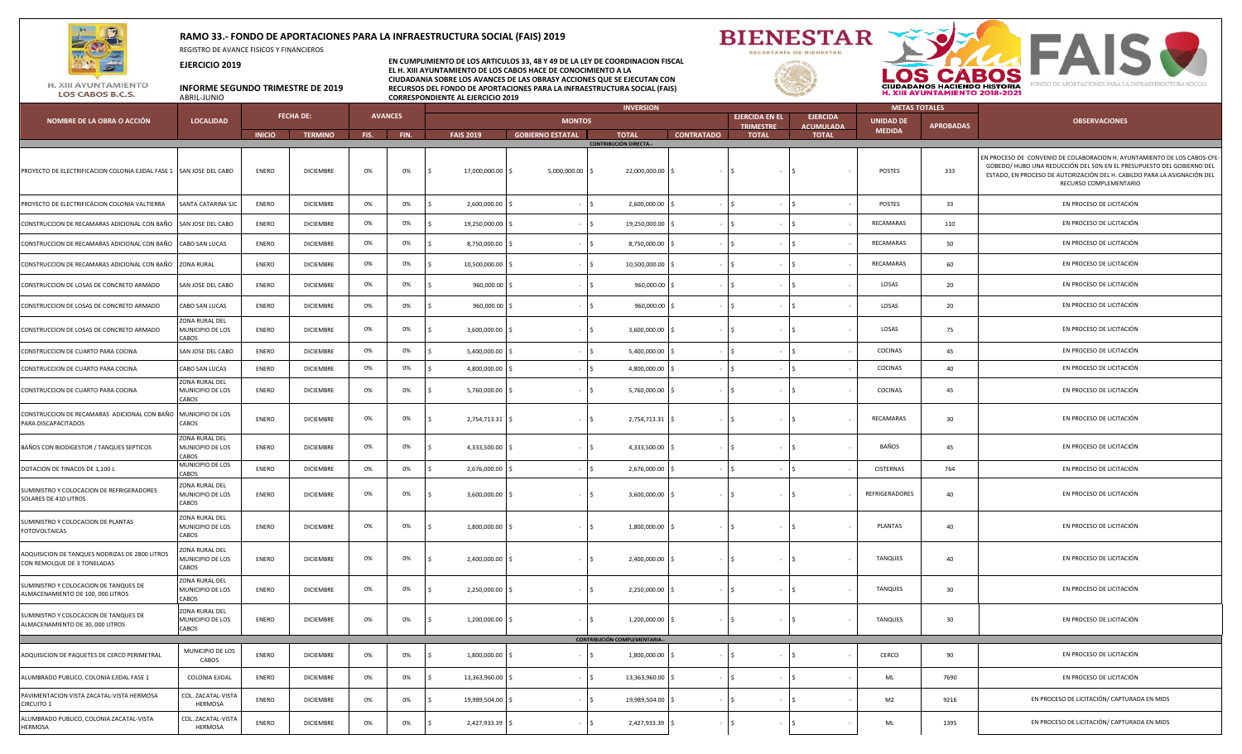

ALUMBRADO PUBLICO, COLONIA ZACATAL-VISTA

COL. ZACATAL-VISTA HERMOSA

HERMOSA

## **RAMO 33.- FONDO DE APORTACIONES PARA LA INFRAESTRUCTURA SOCIAL (FAIS) 2019**

REGISTRO DE AVANCE FISICOS Y FINANCIEROS

**EJERCICIO 2019**

**EN CUMPLIMIENTO DE LOS ARTICULOS 33, 48 Y 49 DE LA LEY DE COORDINACION FISCAL EL H. XIII AYUNTAMIENTO DE LOS CABOS HACE DE CONOCIMIENTO A LA CIUDADANIA SOBRE LOS AVANCES DE LAS OBRASY ACCIONES QUE SE EJECUTAN CON INFORME SEGUNDO TRIMESTRE DE 2019 RECURSOS DEL FONDO DE APORTACIONES PARA LA INFRAESTRUCTURA SOCIAL (FAIS) CORRESPONDIENTE AL EJERCICIO 2019** 





EN PROCESO DE LICITACIÓN/ CAPTURADA EN MIDS

LOS CABOS B.C.S.

|                                                                                      |                                             | <b>FECHA DE:</b> |                  | <b>AVANCES</b> |      | <b>INVERSION</b>  |                         |                                              |                   |                                           | <b>METAS TOTALES</b>                |                                   |                  |                                                                                                                                                                                                                                                         |
|--------------------------------------------------------------------------------------|---------------------------------------------|------------------|------------------|----------------|------|-------------------|-------------------------|----------------------------------------------|-------------------|-------------------------------------------|-------------------------------------|-----------------------------------|------------------|---------------------------------------------------------------------------------------------------------------------------------------------------------------------------------------------------------------------------------------------------------|
| NOMBRE DE LA OBRA O ACCIÓN                                                           | <b>LOCALIDAD</b>                            |                  |                  |                |      |                   | <b>MONTOS</b>           |                                              |                   | <b>EJERCIDA EN EL</b><br><b>TRIMESTRE</b> | <b>EJERCIDA</b><br><b>ACUMULADA</b> | <b>UNIDAD DE</b><br><b>MEDIDA</b> | <b>APROBADAS</b> | <b>OBSERVACIONES</b>                                                                                                                                                                                                                                    |
|                                                                                      |                                             | <b>INICIO</b>    | <b>TERMINO</b>   | FIS.           | FIN. | <b>FAIS 2019</b>  | <b>GOBIERNO ESTATAL</b> | <b>TOTAL</b><br><b>CONTRIBUCIÓN DIRECTA.</b> | <b>CONTRATADO</b> | <b>TOTAL</b>                              | <b>TOTAL</b>                        |                                   |                  |                                                                                                                                                                                                                                                         |
| PROYECTO DE ELECTRIFICACION COLONIA EJIDAL FASE 1 SAN JOSE DEL CABO                  |                                             | <b>ENERO</b>     | <b>DICIEMBRE</b> | 0%             | 0%   | 17,000,000.00 \$  | 5,000,000.00 \$         | 22,000,000.00 \$                             |                   | IS.<br>$\sim$                             |                                     | POSTES                            | 333              | EN PROCESO DE CONVENIO DE COLABORACION H. AYUNTAMIENTO DE LOS CABOS-CFE-<br>GOBEDO/ HUBO UNA REDUCCIÓN DEL 50% EN EL PRESUPUESTO DEL GOBIERNO DEL<br>ESTADO, EN PROCESO DE AUTORIZACIÓN DEL H. CABILDO PARA LA ASIGNACIÓN DEL<br>RECURSO COMPLEMENTARIO |
| PROYECTO DE ELECTRIFICACION COLONIA VALTIERRA                                        | SANTA CATARINA SJC                          | ENERO            | DICIEMBRE        | 0%             | 0%   | 2,600,000.00 \$   |                         | 2,600,000.00 \$<br>$-15$                     |                   | $\vert$ \$<br>$\sim$                      |                                     | POSTES                            | 33               | EN PROCESO DE LICITACIÓN                                                                                                                                                                                                                                |
| CONSTRUCCION DE RECAMARAS ADICIONAL CON BAÑO SAN JOSE DEL CABO                       |                                             | ENERO            | <b>DICIEMBRE</b> | 0%             | 0%   | 19,250,000.00 \$  |                         | 19,250,000.00 \$<br>$-15$                    |                   | $-$ 5                                     |                                     | RECAMARAS                         | 110              | EN PROCESO DE LICITACIÓN                                                                                                                                                                                                                                |
| CONSTRUCCION DE RECAMARAS ADICIONAL CON BAÑO CABO SAN LUCAS                          |                                             | ENERO            | DICIEMBRE        | 0%             | 0%   | 8,750,000.00 \$   |                         | 8,750,000.00 \$<br>$-15$                     |                   | $\vert$ \$                                |                                     | RECAMARAS                         | 50               | EN PROCESO DE LICITACIÓN                                                                                                                                                                                                                                |
| CONSTRUCCION DE RECAMARAS ADICIONAL CON BAÑO ZONA RURAL                              |                                             | <b>ENERO</b>     | <b>DICIEMBRE</b> | 0%             | 0%   | 10,500,000.00 \$  |                         | 10,500,000.00 \$                             |                   | $\sqrt{5}$                                |                                     | RECAMARAS                         | 60               | EN PROCESO DE LICITACIÓN                                                                                                                                                                                                                                |
| CONSTRUCCION DE LOSAS DE CONCRETO ARMADO                                             | SAN JOSE DEL CABO                           | ENERO            | <b>DICIEMBRE</b> | 0%             | 0%   | 960,000.00 \$     |                         | 960,000.00 \$<br>$-15$                       |                   | $\vert$ \$<br>$\sim$                      |                                     | LOSAS                             | 20               | EN PROCESO DE LICITACIÓN                                                                                                                                                                                                                                |
| CONSTRUCCION DE LOSAS DE CONCRETO ARMADO                                             | CABO SAN LUCAS                              | ENERO            | <b>DICIEMBRE</b> | 0%             | 0%   | 960,000.00 \$     |                         | 960,000.00 \$                                |                   | $\vert$ \$                                | $-1S$                               | LOSAS                             | 20               | EN PROCESO DE LICITACIÓN                                                                                                                                                                                                                                |
| CONSTRUCCION DE LOSAS DE CONCRETO ARMADO                                             | ZONA RURAL DEL<br>MUNICIPIO DE LOS<br>CABOS | <b>ENERO</b>     | <b>DICIEMBRE</b> | 0%             | 0%   | $3,600,000.00$ \$ |                         | 3,600,000.00 \$<br>$-15$                     |                   | $-15$<br>$\sim$                           |                                     | LOSAS                             | 75               | EN PROCESO DE LICITACIÓN                                                                                                                                                                                                                                |
| CONSTRUCCION DE CUARTO PARA COCINA                                                   | SAN JOSE DEL CABO                           | <b>ENERO</b>     | <b>DICIEMBRE</b> | 0%             | 0%   | 5,400,000.00 \$   |                         | 5,400,000.00 \$                              |                   | Is.                                       |                                     | COCINAS                           | 45               | EN PROCESO DE LICITACIÓN                                                                                                                                                                                                                                |
| CONSTRUCCION DE CUARTO PARA COCINA                                                   | CABO SAN LUCAS                              | ENERO            | <b>DICIEMBRE</b> | 0%             | 0%   | 4,800,000.00 \$   |                         | 4,800,000.00 \$                              |                   | $\vert$ \$                                |                                     | COCINAS                           | 40               | EN PROCESO DE LICITACIÓN                                                                                                                                                                                                                                |
| CONSTRUCCION DE CUARTO PARA COCINA                                                   | ZONA RURAL DEL<br>MUNICIPIO DE LOS<br>CABOS | <b>ENERO</b>     | <b>DICIEMBRE</b> | 0%             | 0%   | 5,760,000.00 \$   |                         | 5,760,000.00 \$<br>$-15$                     |                   | $-$ 5                                     | $-15$                               | COCINAS                           | 45               | EN PROCESO DE LICITACIÓN                                                                                                                                                                                                                                |
| CONSTRUCCION DE RECAMARAS ADICIONAL CON BAÑO MUNICIPIO DE LOS<br>PARA DISCAPACITADOS | CABOS                                       | ENERO            | <b>DICIEMBRE</b> | 0%             | 0%   | 2,754,713.31 \$   |                         | 2,754,713.31 \$<br>$-15$                     |                   | $-15$                                     | $-1S$                               | RECAMARAS                         | 30               | EN PROCESO DE LICITACIÓN                                                                                                                                                                                                                                |
| BAÑOS CON BIODIGESTOR / TANQUES SEPTICOS                                             | ZONA RURAL DEL<br>MUNICIPIO DE LOS<br>CABOS | ENERO            | <b>DICIEMBRE</b> | 0%             | 0%   | 4,333,500.00 \$   |                         | 4,333,500.00 \$<br>$-15$                     |                   | $\vert$ \$<br>$\sim$                      |                                     | BAÑOS                             | 45               | EN PROCESO DE LICITACIÓN                                                                                                                                                                                                                                |
| DOTACION DE TINACOS DE 1,100 L                                                       | MUNICIPIO DE LOS<br>CABOS                   | ENERO            | DICIEMBRE        | 0%             | 0%   | 2,676,000.00 \$   |                         | 2,676,000.00 \$                              |                   | $\vert$ \$                                |                                     | CISTERNAS                         | 764              | EN PROCESO DE LICITACIÓN                                                                                                                                                                                                                                |
| SUMINISTRO Y COLOCACION DE REFRIGERADORES<br>SOLARES DE 410 LITROS                   | ZONA RURAL DEL<br>MUNICIPIO DE LOS<br>CABOS | ENERO            | <b>DICIEMBRE</b> | 0%             | 0%   | $3,600,000.00$ \$ |                         | $3,600,000.00$ \$<br>- 15                    |                   | $-15$                                     | $-1S$                               | REFRIGERADORES                    | 40               | EN PROCESO DE LICITACIÓN                                                                                                                                                                                                                                |
| SUMINISTRO Y COLOCACION DE PLANTAS<br><b>FOTOVOLTAICAS</b>                           | ZONA RURAL DEL<br>MUNICIPIO DE LOS<br>CABOS | ENERO            | DICIEMBRE        | 0%             | 0%   | 1,800,000.00 \$   |                         | 1,800,000.00 \$<br>$-15$                     |                   | $-15$<br>$\sim$                           |                                     | PLANTAS                           | 40               | EN PROCESO DE LICITACIÓN                                                                                                                                                                                                                                |
| ADQUISICION DE TANQUES NODRIZAS DE 2800 LITROS<br>CON REMOLQUE DE 3 TONELADAS        | ONA RURAL DEL<br>Municipio de los<br>CABOS  | ENERO            | <b>DICIEMBRE</b> | 0%             | 0%   | 2,400,000.00 \$   |                         | 2,400,000.00 \$<br>$-15$                     |                   | $-15$                                     | $-1S$                               | TANQUES                           | 40               | EN PROCESO DE LICITACIÓN                                                                                                                                                                                                                                |
| SUMINISTRO Y COLOCACION DE TANQUES DE<br>ALMACENAMIENTO DE 100, 000 LITROS           | ZONA RURAL DEL<br>MUNICIPIO DE LOS<br>CABOS | ENERO            | DICIEMBRE        | 0%             | 0%   | 2,250,000.00 \$   |                         | 2,250,000.00 \$<br>$-15$                     |                   | l S                                       |                                     | TANQUES                           | 30               | EN PROCESO DE LICITACIÓN                                                                                                                                                                                                                                |
| SUMINISTRO Y COLOCACION DE TANQUES DE<br>ALMACENAMIENTO DE 30, 000 LITROS            | ZONA RURAL DEL<br>MUNICIPIO DE LOS<br>CABOS | <b>ENERO</b>     | <b>DICIEMBRE</b> | 0%             | 0%   | 1,200,000.00 \$   |                         | 1,200,000.00 \$<br>$-15$                     |                   | $-15$                                     | $-$ S                               | TANQUES                           | 30 <sup>°</sup>  | EN PROCESO DE LICITACIÓN                                                                                                                                                                                                                                |
|                                                                                      |                                             |                  |                  |                |      |                   |                         | CONTRIBUCIÓN COMPLEMENTARIA.                 |                   |                                           |                                     |                                   |                  |                                                                                                                                                                                                                                                         |
| ADQUISICION DE PAQUETES DE CERCO PERIMETRAL                                          | MUNICIPIO DE LOS<br>CABOS                   | ENERO            | <b>DICIEMBRE</b> | 0%             | 0%   | 1,800,000.00      |                         | 1,800,000.00 \$                              |                   | l \$                                      |                                     | CERCO                             | 90               | EN PROCESO DE LICITACIÓN                                                                                                                                                                                                                                |
| ALUMBRADO PUBLICO, COLONIA EJIDAL FASE 1                                             | <b>COLONIA EJIDAL</b>                       | <b>ENERO</b>     | <b>DICIEMBRE</b> | 0%             | 0%   | 13,363,960.00 \$  |                         | 13,363,960.00 \$<br>$-15$                    |                   | $\overline{\phantom{a}}$                  |                                     | $\mathsf{ML}$                     | 7690             | EN PROCESO DE LICITACIÓN                                                                                                                                                                                                                                |
| PAVIMENTACION VISTA ZACATAL-VISTA HERMOSA<br><b>CIRCUITO 1</b>                       | COL. ZACATAL-VISTA<br>HERMOSA               | ENERO            | DICIEMBRE        | 0%             | 0%   | 19,989,504.00 \$  |                         | 19,989,504.00 \$                             |                   | $\overline{\phantom{a}}$                  |                                     | M <sub>2</sub>                    | 9216             | EN PROCESO DE LICITACIÓN/ CAPTURADA EN MIDS                                                                                                                                                                                                             |

ENERO DICIEMBRE 0% 0% \$ 2,427,933.39 \$ - \$ 2,427,933.39 \$ - \$ - \$ - ML 1395